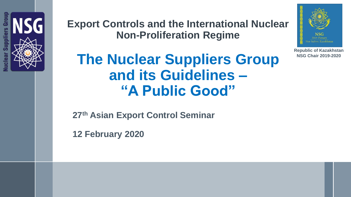

**Export Controls and the International Nuclear Non-Proliferation Regime**



**Republic of Kazakhstan NSG Chair 2019-2020**

## **The Nuclear Suppliers Group and its Guidelines – "A Public Good"**

**27th Asian Export Control Seminar**

**12 February 2020**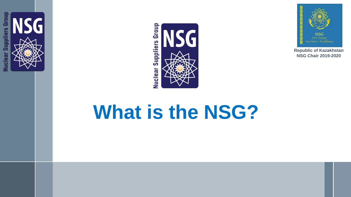





# **What is the NSG?**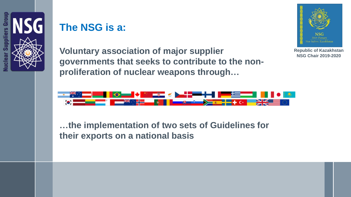

### **The NSG is a:**



**Voluntary association of major supplier governments that seeks to contribute to the nonproliferation of nuclear weapons through…**

**Republic of Kazakhstan NSG Chair 2019-2020**



**…the implementation of two sets of Guidelines for their exports on a national basis**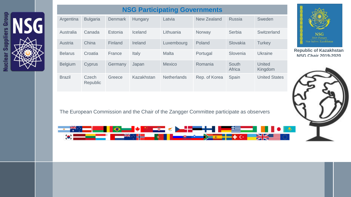

|  | <b>NSG Participating Governments</b> |                   |                |            |                    |               |                 |                          |
|--|--------------------------------------|-------------------|----------------|------------|--------------------|---------------|-----------------|--------------------------|
|  | Argentina                            | <b>Bulgaria</b>   | <b>Denmark</b> | Hungary    | Latvia             | New Zealand   | <b>Russia</b>   | Sweden                   |
|  | Australia                            | Canada            | Estonia        | Iceland    | Lithuania          | Norway        | Serbia          | Switzerland              |
|  | Austria                              | China             | Finland        | Ireland    | Luxembourg         | Poland        | Slovakia        | <b>Turkey</b>            |
|  | <b>Belarus</b>                       | Croatia           | France         | Italy      | <b>Malta</b>       | Portugal      | Slovenia        | <b>Ukraine</b>           |
|  | <b>Belgium</b>                       | Cyprus            | Germany        | Japan      | <b>Mexico</b>      | Romania       | South<br>Africa | <b>United</b><br>Kingdom |
|  | <b>Brazil</b>                        | Czech<br>Republic | Greece         | Kazakhstan | <b>Netherlands</b> | Rep. of Korea | Spain           | <b>United States</b>     |





The European Commission and the Chair of the Zangger Committee participate as observers

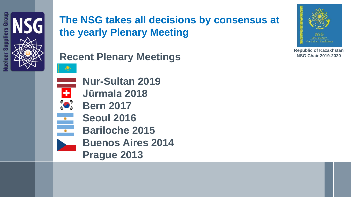



**Recent Plenary Meetings**





**Nur-Sultan 2019**

- **Jūrmala 2018**
- **Bern 2017**
	- **Seoul 2016**
	- **Bariloche 2015**
	- **Buenos Aires 2014**
	- **Prague 2013**

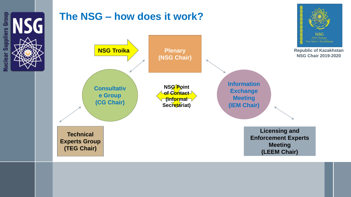

Supplie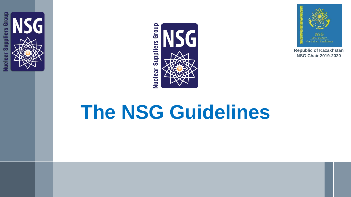





# **The NSG Guidelines**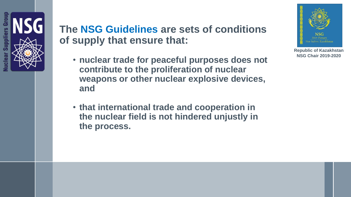

### **The NSG Guidelines are sets of conditions of supply that ensure that:**

- **nuclear trade for peaceful purposes does not contribute to the proliferation of nuclear weapons or other nuclear explosive devices, and**
- **that international trade and cooperation in the nuclear field is not hindered unjustly in the process.**

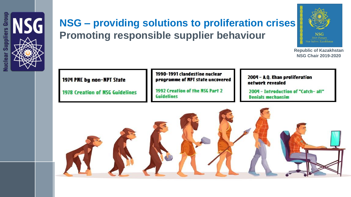



### **NSG – providing solutions to proliferation crises Promoting responsible supplier behaviour**



**Republic of Kazakhstan NSG Chair 2019-2020**



**1978 Creation of NSG Guidelines** 

1990-1991 clandestine nuclear programme of NPT state uncovered

1992 Creation of the NSG Part 2 Guidelines

2004 - A.Q. Khan proliferation network revealed

2004 - Introduction of "Catch-all" **Denials mechansim** 

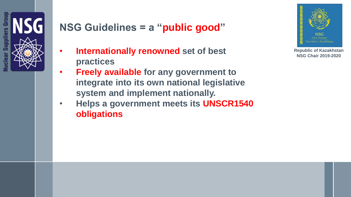

### **NSG Guidelines = a "public good"**

- **Internationally renowned set of best practices**
- **Freely available for any government to integrate into its own national legislative system and implement nationally.**
- **Helps a government meets its UNSCR1540 obligations**



**Republic of Kazakhstan NSG Chair 2019-2020**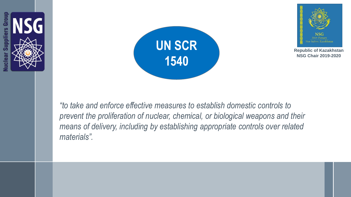





**Republic of Kazakhstan NSG Chair 2019-2020**

*"to take and enforce effective measures to establish domestic controls to*  prevent the proliferation of nuclear, chemical, or biological weapons and their *means of delivery, including by establishing appropriate controls over related materials".*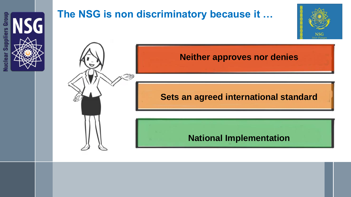

### **The NSG is non discriminatory because it …**



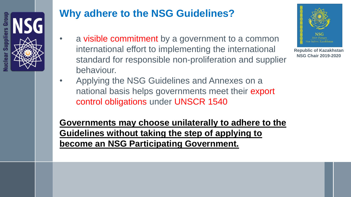

## **Why adhere to the NSG Guidelines?**

- a visible commitment by a government to a common international effort to implementing the international standard for responsible non-proliferation and supplier behaviour.
- Applying the NSG Guidelines and Annexes on a national basis helps governments meet their export control obligations under UNSCR 1540

**Governments may choose unilaterally to adhere to the Guidelines without taking the step of applying to become an NSG Participating Government.**

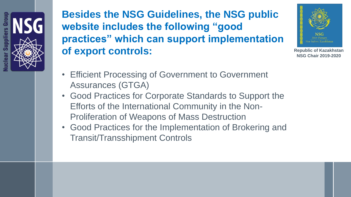**Besides the NSG Guidelines, the NSG public website includes the following "good practices" which can support implementation of export controls:** 



- Efficient Processing of Government to Government Assurances (GTGA)
- Good Practices for Corporate Standards to Support the Efforts of the International Community in the Non-Proliferation of Weapons of Mass Destruction
- Good Practices for the Implementation of Brokering and Transit/Transshipment Controls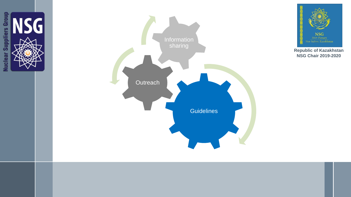



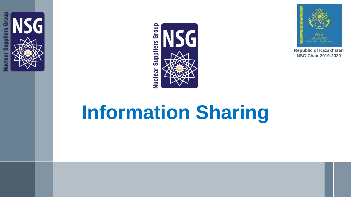





# **Information Sharing**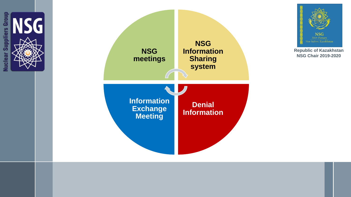



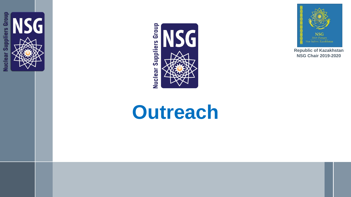



# **Outreach**

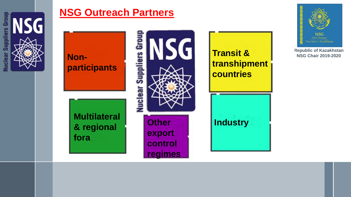

#### **NSG Outreach Partners**



**NSG** 2019 Plenary Nur-Sultan, Kazakhstan

**Republic of Kazakhstan**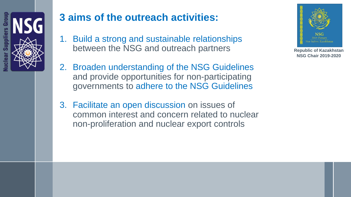

### **3 aims of the outreach activities:**

- 1. Build a strong and sustainable relationships between the NSG and outreach partners
- 2. Broaden understanding of the NSG Guidelines and provide opportunities for non-participating governments to adhere to the NSG Guidelines
- 3. Facilitate an open discussion on issues of common interest and concern related to nuclear non-proliferation and nuclear export controls

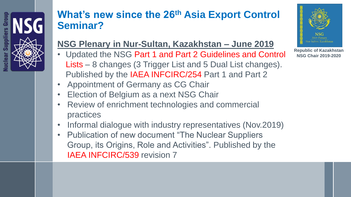#### **What's new since the 26th Asia Export Control Seminar?**

#### **NSG Plenary in Nur-Sultan, Kazakhstan – June 2019**

- Updated the NSG Part 1 and Part 2 Guidelines and Control Lists – 8 changes (3 Trigger List and 5 Dual List changes). Published by the IAEA INFCIRC/254 Part 1 and Part 2
- Appointment of Germany as CG Chair
- **Election of Belgium as a next NSG Chair**
- Review of enrichment technologies and commercial practices
- Informal dialogue with industry representatives (Nov.2019)
- Publication of new document "The Nuclear Suppliers Group, its Origins, Role and Activities". Published by the IAEA INFCIRC/539 revision 7

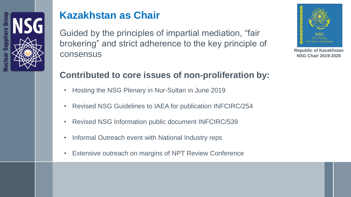

### **Kazakhstan as Chair**

Guided by the principles of impartial mediation, "fair brokering" and strict adherence to the key principle of consensus



**Republic of Kazakhstan NSG Chair 2019-2020**

#### **Contributed to core issues of non-proliferation by:**

- Hosting the NSG Plenary in Nur-Sultan in June 2019
- Revised NSG Guidelines to IAEA for publication INFCIRC/254
- Revised NSG Information public document INFCIRC/539
- Informal Outreach event with National Industry reps
- Extensive outreach on margins of NPT Review Conference